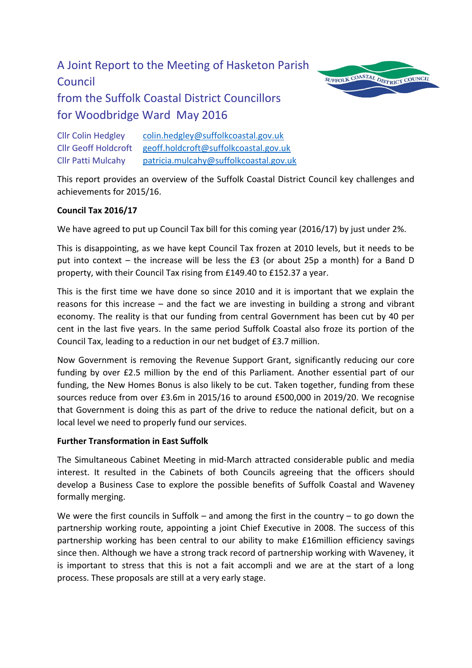# A Joint Report to the Meeting of Hasketon Parish Council from the Suffolk Coastal District Councillors for Woodbridge Ward May 2016



Cllr Colin Hedgley [colin.hedgley@suffolkcoastal.gov.uk](mailto:colin.hedgley@suffolkcoastal.gov.uk) Cllr Geoff Holdcroft [geoff.holdcroft@suffolkcoastal.gov.uk](mailto:geoff.holdcroft@suffolkcoastal.gov.uk) Cllr Patti Mulcahy [patricia.mulcahy@suffolkcoastal.gov.uk](mailto:patricia.mulcahy@suffolkcoastal.gov.uk)

This report provides an overview of the Suffolk Coastal District Council key challenges and achievements for 2015/16.

# **Council Tax 2016/17**

We have agreed to put up Council Tax bill for this coming year (2016/17) by just under 2%.

This is disappointing, as we have kept Council Tax frozen at 2010 levels, but it needs to be put into context – the increase will be less the £3 (or about 25p a month) for a Band D property, with their Council Tax rising from £149.40 to £152.37 a year.

This is the first time we have done so since 2010 and it is important that we explain the reasons for this increase – and the fact we are investing in building a strong and vibrant economy. The reality is that our funding from central Government has been cut by 40 per cent in the last five years. In the same period Suffolk Coastal also froze its portion of the Council Tax, leading to a reduction in our net budget of £3.7 million.

Now Government is removing the Revenue Support Grant, significantly reducing our core funding by over £2.5 million by the end of this Parliament. Another essential part of our funding, the New Homes Bonus is also likely to be cut. Taken together, funding from these sources reduce from over £3.6m in 2015/16 to around £500,000 in 2019/20. We recognise that Government is doing this as part of the drive to reduce the national deficit, but on a local level we need to properly fund our services.

# **Further Transformation in East Suffolk**

The Simultaneous Cabinet Meeting in mid-March attracted considerable public and media interest. It resulted in the Cabinets of both Councils agreeing that the officers should develop a Business Case to explore the possible benefits of Suffolk Coastal and Waveney formally merging.

We were the first councils in Suffolk – and among the first in the country – to go down the partnership working route, appointing a joint Chief Executive in 2008. The success of this partnership working has been central to our ability to make £16million efficiency savings since then. Although we have a strong track record of partnership working with Waveney, it is important to stress that this is not a fait accompli and we are at the start of a long process. These proposals are still at a very early stage.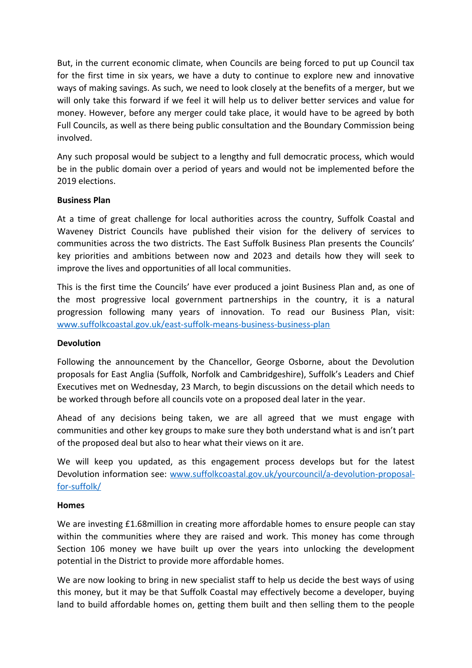But, in the current economic climate, when Councils are being forced to put up Council tax for the first time in six years, we have a duty to continue to explore new and innovative ways of making savings. As such, we need to look closely at the benefits of a merger, but we will only take this forward if we feel it will help us to deliver better services and value for money. However, before any merger could take place, it would have to be agreed by both Full Councils, as well as there being public consultation and the Boundary Commission being involved.

Any such proposal would be subject to a lengthy and full democratic process, which would be in the public domain over a period of years and would not be implemented before the 2019 elections.

## **Business Plan**

At a time of great challenge for local authorities across the country, Suffolk Coastal and Waveney District Councils have published their vision for the delivery of services to communities across the two districts. The East Suffolk Business Plan presents the Councils' key priorities and ambitions between now and 2023 and details how they will seek to improve the lives and opportunities of all local communities.

This is the first time the Councils' have ever produced a joint Business Plan and, as one of the most progressive local government partnerships in the country, it is a natural progression following many years of innovation. To read our Business Plan, visit: [www.suffolkcoastal.gov.uk/east-suffolk-means-business-business-plan](http://www.suffolkcoastal.gov.uk/east-suffolk-means-business-business-plan)

#### **Devolution**

Following the announcement by the Chancellor, George Osborne, about the Devolution proposals for East Anglia (Suffolk, Norfolk and Cambridgeshire), Suffolk's Leaders and Chief Executives met on Wednesday, 23 March, to begin discussions on the detail which needs to be worked through before all councils vote on a proposed deal later in the year.

Ahead of any decisions being taken, we are all agreed that we must engage with communities and other key groups to make sure they both understand what is and isn't part of the proposed deal but also to hear what their views on it are.

We will keep you updated, as this engagement process develops but for the latest Devolution information see: [www.suffolkcoastal.gov.uk/yourcouncil/a-devolution-proposal](http://www.suffolkcoastal.gov.uk/yourcouncil/a-devolution-proposal-for-suffolk/)[for-suffolk/](http://www.suffolkcoastal.gov.uk/yourcouncil/a-devolution-proposal-for-suffolk/)

#### **Homes**

We are investing £1.68 million in creating more affordable homes to ensure people can stay within the communities where they are raised and work. This money has come through Section 106 money we have built up over the years into unlocking the development potential in the District to provide more affordable homes.

We are now looking to bring in new specialist staff to help us decide the best ways of using this money, but it may be that Suffolk Coastal may effectively become a developer, buying land to build affordable homes on, getting them built and then selling them to the people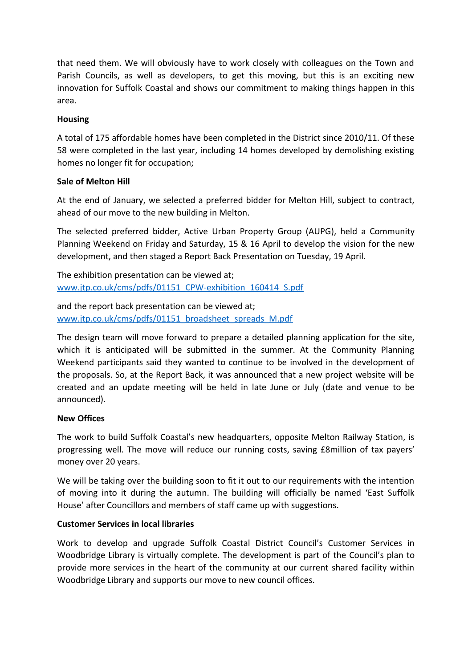that need them. We will obviously have to work closely with colleagues on the Town and Parish Councils, as well as developers, to get this moving, but this is an exciting new innovation for Suffolk Coastal and shows our commitment to making things happen in this area.

# **Housing**

A total of 175 affordable homes have been completed in the District since 2010/11. Of these 58 were completed in the last year, including 14 homes developed by demolishing existing homes no longer fit for occupation;

## **Sale of Melton Hill**

At the end of January, we selected a preferred bidder for Melton Hill, subject to contract, ahead of our move to the new building in Melton.

The selected preferred bidder, Active Urban Property Group (AUPG), held a Community Planning Weekend on Friday and Saturday, 15 & 16 April to develop the vision for the new development, and then staged a Report Back Presentation on Tuesday, 19 April.

The exhibition presentation can be viewed at; [www.jtp.co.uk/cms/pdfs/01151\\_CPW-exhibition\\_160414\\_S.pdf](http://www.jtp.co.uk/cms/pdfs/01151_CPW-exhibition_160414_S.pdf)

and the report back presentation can be viewed at; [www.jtp.co.uk/cms/pdfs/01151\\_broadsheet\\_spreads\\_M.pdf](http://www.jtp.co.uk/cms/pdfs/01151_broadsheet_spreads_M.pdf)

The design team will move forward to prepare a detailed planning application for the site, which it is anticipated will be submitted in the summer. At the Community Planning Weekend participants said they wanted to continue to be involved in the development of the proposals. So, at the Report Back, it was announced that a new project website will be created and an update meeting will be held in late June or July (date and venue to be announced).

#### **New Offices**

The work to build Suffolk Coastal's new headquarters, opposite Melton Railway Station, is progressing well. The move will reduce our running costs, saving £8million of tax payers' money over 20 years.

We will be taking over the building soon to fit it out to our requirements with the intention of moving into it during the autumn. The building will officially be named 'East Suffolk House' after Councillors and members of staff came up with suggestions.

#### **Customer Services in local libraries**

Work to develop and upgrade Suffolk Coastal District Council's Customer Services in Woodbridge Library is virtually complete. The development is part of the Council's plan to provide more services in the heart of the community at our current shared facility within Woodbridge Library and supports our move to new council offices.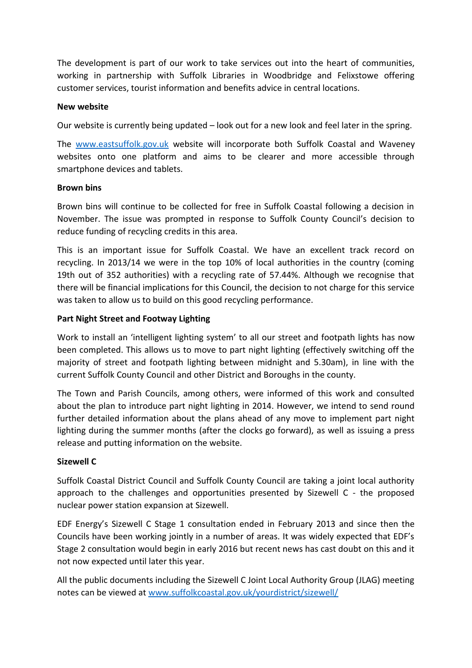The development is part of our work to take services out into the heart of communities, working in partnership with Suffolk Libraries in Woodbridge and Felixstowe offering customer services, tourist information and benefits advice in central locations.

#### **New website**

Our website is currently being updated – look out for a new look and feel later in the spring.

The [www.eastsuffolk.gov.uk](http://www.eastsuffolk.gov.uk/) website will incorporate both Suffolk Coastal and Waveney websites onto one platform and aims to be clearer and more accessible through smartphone devices and tablets.

## **Brown bins**

Brown bins will continue to be collected for free in Suffolk Coastal following a decision in November. The issue was prompted in response to Suffolk County Council's decision to reduce funding of recycling credits in this area.

This is an important issue for Suffolk Coastal. We have an excellent track record on recycling. In 2013/14 we were in the top 10% of local authorities in the country (coming 19th out of 352 authorities) with a recycling rate of 57.44%. Although we recognise that there will be financial implications for this Council, the decision to not charge for this service was taken to allow us to build on this good recycling performance.

# **Part Night Street and Footway Lighting**

Work to install an 'intelligent lighting system' to all our street and footpath lights has now been completed. This allows us to move to part night lighting (effectively switching off the majority of street and footpath lighting between midnight and 5.30am), in line with the current Suffolk County Council and other District and Boroughs in the county.

The Town and Parish Councils, among others, were informed of this work and consulted about the plan to introduce part night lighting in 2014. However, we intend to send round further detailed information about the plans ahead of any move to implement part night lighting during the summer months (after the clocks go forward), as well as issuing a press release and putting information on the website.

# **Sizewell C**

Suffolk Coastal District Council and Suffolk County Council are taking a joint local authority approach to the challenges and opportunities presented by Sizewell C - the proposed nuclear power station expansion at Sizewell.

EDF Energy's Sizewell C Stage 1 consultation ended in February 2013 and since then the Councils have been working jointly in a number of areas. It was widely expected that EDF's Stage 2 consultation would begin in early 2016 but recent news has cast doubt on this and it not now expected until later this year.

All the public documents including the Sizewell C Joint Local Authority Group (JLAG) meeting notes can be viewed at [www.suffolkcoastal.gov.uk/yourdistrict/sizewell/](http://www.suffolkcoastal.gov.uk/yourdistrict/sizewell/)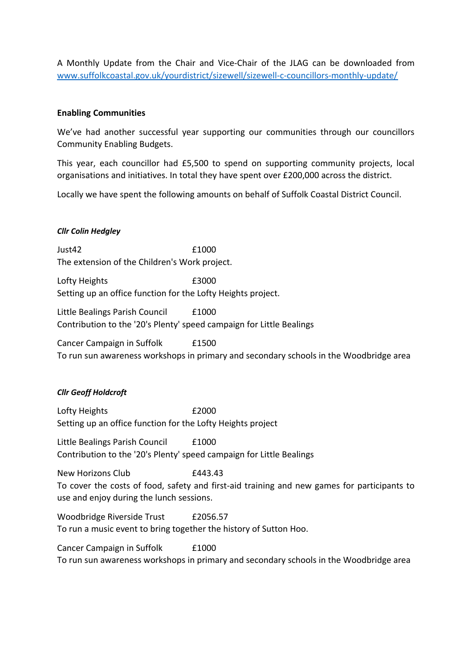A Monthly Update from the Chair and Vice-Chair of the JLAG can be downloaded from [www.suffolkcoastal.gov.uk/yourdistrict/sizewell/sizewell-c-councillors-monthly-update/](http://www.suffolkcoastal.gov.uk/yourdistrict/sizewell/sizewell-c-councillors-monthly-update/)

## **Enabling Communities**

We've had another successful year supporting our communities through our councillors Community Enabling Budgets.

This year, each councillor had £5,500 to spend on supporting community projects, local organisations and initiatives. In total they have spent over £200,000 across the district.

Locally we have spent the following amounts on behalf of Suffolk Coastal District Council.

## *Cllr Colin Hedgley*

 $Just42$   $f1000$ The extension of the Children's Work project.

Lofty Heights **E3000** Setting up an office function for the Lofty Heights project.

Little Bealings Parish Council F1000 Contribution to the '20's Plenty' speed campaign for Little Bealings

Cancer Campaign in Suffolk **E1500** 

To run sun awareness workshops in primary and secondary schools in the Woodbridge area

# *Cllr Geoff Holdcroft*

Lofty Heights **E2000** Setting up an office function for the Lofty Heights project

Little Bealings Parish Council £1000 Contribution to the '20's Plenty' speed campaign for Little Bealings

New Horizons Club **£443.43** To cover the costs of food, safety and first-aid training and new games for participants to use and enjoy during the lunch sessions.

Woodbridge Riverside Trust £2056.57 To run a music event to bring together the history of Sutton Hoo.

Cancer Campaign in Suffolk £1000 To run sun awareness workshops in primary and secondary schools in the Woodbridge area